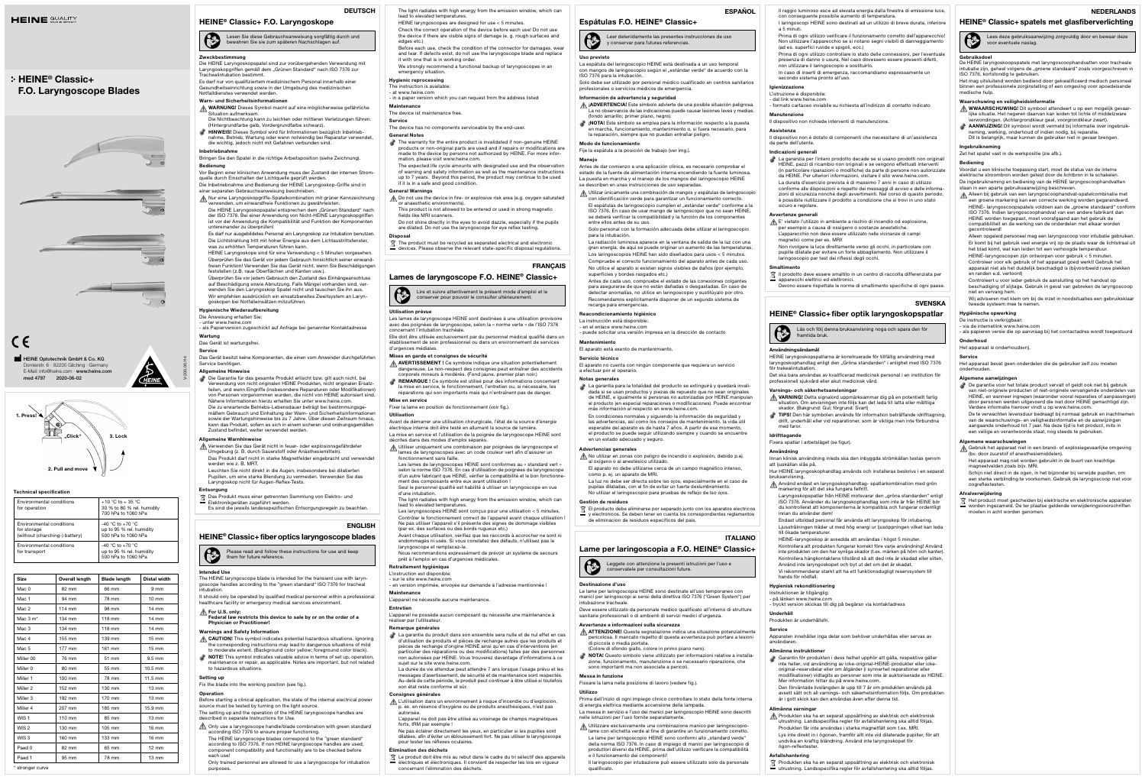## Technical specification

| Environmental conditions<br>for operation                                 | +10 °C to + 35 °C<br>30 % to 80 % rel. humidity<br>700 hPa to 1060 hPa  |  |  |
|---------------------------------------------------------------------------|-------------------------------------------------------------------------|--|--|
| Environmental conditions<br>for storage<br>(without (charching-) battery) | $-40$ °C to $+70$ °C<br>up to 95 % rel. humidity<br>500 hPa to 1060 hPa |  |  |
| Environmental conditions<br>for transport                                 | $-40$ °C to $+70$ °C<br>up to 95 % rel. humidity<br>500 hPa to 1060 hPa |  |  |

## $\bigcirc$ Lesen Sie diese Gebrauchsanweisung sorgfältig durch und bewahren Sie sie zum späteren Nachschlagen auf.

## mung

| 82 mm<br>94 mm<br>114 mm | 66 mm<br>78 mm | 9 <sub>mm</sub><br>$10 \text{ mm}$ |
|--------------------------|----------------|------------------------------------|
|                          |                |                                    |
|                          |                |                                    |
|                          | 98 mm          | $14 \text{ mm}$                    |
| 134 mm                   | 118 mm         | 14 mm                              |
| 134 mm                   | 118 mm         | $14 \text{ mm}$                    |
| 155 mm                   | 139 mm         | $15 \text{ mm}$                    |
| 177 mm                   | 161 mm         | $15 \text{ mm}$                    |
| 76 mm                    | 51 mm          | $9.5 \text{ mm}$                   |
| 80 mm                    | 55 mm          | $10.5$ mm                          |
| 100 mm                   | 78 mm          | $11.5$ mm                          |
| 152 mm                   | 130 mm         | $13 \, \text{mm}$                  |
| 192 mm                   | 170 mm         | $13 \text{ mm}$                    |
| 207 mm                   | 185 mm         | 15.9 mm                            |
| 110 mm                   | 85 mm          | $13 \text{ mm}$                    |
| 130 mm                   | 105 mm         | $16 \text{ mm}$                    |
| 160 mm                   | 133 mm         | $16 \text{ mm}$                    |
| 82 mm                    | 65 mm          | $12 \text{ mm}$                    |
| 95 mm                    | 78 mm          | $13 \text{ mm}$                    |
|                          |                |                                    |

- einer separaten Gebrauchsanweisung beschrieben. Aur eine Laryngoskopgriffe-Spatelkombination mit grüner Kennz
- verwenden, um einwandfreie Funktionen zu gewährleisten. Die HEINE Laryngoskopspatel entsprechen dem "Grünen Standard" nach<br>der ISO 7376. Bei einer Anwendung von Nicht-HEINE Laryngoskopgriffen ist vor der Anwendung die Kompatibilität und Funktion der Komponenten einander zu überprüfen!

Die HEINE Laryngoskopspatel sind zur vorübergehenden Verwendung mit Laryngoskopgriffen gemäß dem "Grünen Standard" nach ISO 7376 zur<br>Trachealintubation bestimmt. Es darf nur von qualifiziertem medizinischem Personal innerhalb einer

# Gesundheitseinrichtung sowie in der Umgebung des medizinischen Notfalldienstes verwendet werden.

- Warn- und Sicherheitsinformationen
- WARNUNG! Dieses Symbol macht auf eine möglicherweise gefährliche Situation aufmerksam. Die Nichtbeachtung kann zu leichten oder mittleren Verletzungen führen.
- (Hintergrundfarbe gelb, Vordergrundfarbe schwarz). **HINWEIS!** Dieses Symbol wird für Informationen bezüglich Inbetrieb-<br>nahme, Betrieb, Wartung oder wenn notwendig bei Reparatur verwendet,<br>die wichtig, jedoch nicht mit Gefahren verbunden sind.

Wir empfehlen ausdrücklich ein einsatzbereites Zweitsystem an Laryngoskopen bei Notfalleinsätzen mitzuführen. Hygienische Wiederaufbereitung

### Inbetriebnahme

Bringen Sie den Spatel in die richtige Arbeitsposition (siehe Zeichnung). Bedienung

Vor Beginn einer klinischen Anwendung muss der Zustand der internen Stromquelle durch Einschalten der Lichtquelle geprüft werden. Die Inbetriebnahme und Bedienung der HEINE Laryngoskop-Griffe sind in

- Die Garantie für das gesamte Produkt erlischt bzw. gilt auch nicht, bei<br>Verwendung von nicht originalen HEINE Produkten, nicht originalen Ersatz-<br>teilen, und wenn Eingriffe (insbesondere Reparaturen oder Modifikationen)<br>vo
	- Die zu erwartende Betriebs-Lebensdauer beträgt bei bestimmungsge-<br>mäßem Gebrauch und Einhaltung der Warn- und Sicherheitsinformationen<br>sowie der Wartungshinweise bis zu 7 Jahre. Über diesen Zeitraum hinaus, kann das Produkt, sofern es sich in einem sicheren und ordnungsgemäßer Zustand befindet, weiter verwendet werden.

Das Produkt muss einer getrennten Sammlung von Elektro- und Elektronikgeräten zugeführt werden. Es sind die jeweils landesspezifischen Entsorgungsregeln zu beachter.

It should only be operated by qualified medical personnel within a professional abo oporation by qualified modical porous

## $\triangle$  For U.S. only:

Es darf nur ausgebildetes Personal ein Laryngoskop zur Intubation benutzen. Die Lichtstrahlung tritt mit hoher Energie aus dem Lichtaustrittsfenster, was zu erhöhten Temperaturen führen kann.

HEINE Laryngoskope sind für eine Verwendung < 5 Minuten vorgesehen. Überprüfen Sie das Gerät vor jedem Gebrauch hinsichtlich seiner einwandfreien Funktion! Verwenden Sie das Gerät nicht, wenn Sie Beschädigungen feststellen (z.B. raue Oberflächen und Kanten usw.).

- **A CAUTION!** This symbol indicates potential hazardous situations. Ignoring the corresponding instructions may lead to dangerous situations of mild to moderate extent. (Background color yellow; foreground color black).
- NOTE! This symbol indicates valuable advice in terms of set up, operation, maintenance or repair, as applicable. Notes are important, but not related to hazardous situations.

Überprüfen Sie vor jedem Gebrauch den Zustand des Einhängeanschluss auf Beschädigung sowie Abnutzung. Falls Mängel vorhanden sind, verwenden Sie den Laryngoskop Spatel nicht und tauschen Sie ihn aus.

- scribed in separate Instructions for Use.
- Only use a laryngoscope handle/blade combination with green standard according ISO 7376 to ensure proper functioning. The HEINE laryngoscope blades correspond to the "green standard" according to ISO 7376. If non HEINE laryngoscope handles are used, component compatibility and functionality are to be checked before each use!
- Only trained personnel are allowed to use a laryngoscope for intubation purposes.

Die Anweisung erhalten Sie:

- unter www.heine.com - als Papierversion zugeschickt auf Anfrage bei genannter Kontaktadresse

Wartung Das Gerät ist wartungsfrei.

Service

and tear. If defects exist, do not use the laryngoscope blade and replace it with one that is in working order. We strongly recommend a functional backup of laryngoscopes in an emergency situation.

Das Gerät besitzt keine Komponenten, die einen vom Anwender durchgeführten Service benötigen.

## Allgemeine Hinweise

**Maintenance** The device ist maintenance free.

- The warranty for the entire product is invalidated if non-genuine HEINE<br>products or non-original parts are used and if repairs or modifications are<br>made to the device by persons not authorized by HEINE. For more infor-<br>mat
- The expected life cycle amounts with designated use and the observation of warning and safety information as well as the maintenance instructions up to 7 years. Beyond this period, the product may continue to be used if it is in a safe and good condition.

- A Do not use the device in fire- or explosive risk area (e.g. oxygen saturated or anaesthetic enviro This product is not allowed to be entered or used in strong magnetic
- fields like MRI scanners. Do not shine directly in the eyes to avoid dazzle, especially if the pupils

## are dilated. Do not use the laryngoscope for eye reflex te

Lire et suivre attentivement le présent mode d'emploi et le conserver pour pouvoir le consulter ultérieurement

### Allgemeine Warnhinweise

Verwenden Sie das Gerät nicht in feuer- oder explosionsgefährdeter Umgebung (z. B. durch Sauerstoff oder Anästhesiemitteln). Das Produkt darf nicht in starke Magnetfelder eingebracht und verwendet werden wie z. B. MRT.

Leuchten Sie nicht direkt in die Augen, insbesondere bei dilatierten Pupillen, um eine starke Blendung zu vermeiden. Verwenden Sie das Laryngoskop nicht für Augen-Reflex-Tests.

### Entsorgung

### ENGLISH

## HEINE® Classic+ fiber optics laryngoscope blades

Please read and follow these instructions for use and keep them for future reference.

### Intended Use

The HEINE laryngoscope blade is intended for the transient use with laryn-goscope handles according to the "green standard" ISO 7376 for tracheal intubation.

- Les lames de laryngoscopes HEINE sont conformes au « standard vert »<br>selon la norme ISO 7376. En cas d'utilisation de poignées de laryngoscope<br>d'un autre fabricant que HEINE, vérifier la compatibilité et le bon fonctionne-
- ment des composants entre eux avant utilisation ! Seul le personnel qualifié est habilité à utiliser un laryngoscope en vue d'une intubation. The light radiates with high energy from the emission window, which can
- lead to elevated temperatures. Les laryngoscopes HEINE sont conçus pour une utilisation < 5 minutes.

Federal law restricts this device to sale by or on the order of a Physician or Practitioner!

## Warnings and Safety Information

## Retraitement hygiénique L'instruction est disponible: - sur le site www.heine.com

réaliser par l'utilisateu Remarque générales

#### Setting up

Fix the blade into the working position (see fig.).

#### Operation

Before starting a clinical application, the state of the internal electrical power source must be tested by turning on the light source. The setting up and the operation of the HEINE laryngoscope handles are

L'utilisation dans un environnement à risque d'incendie ou d'explosion, p. ex. en résence d'oxygène ou de produits anesthésiques, n'est pas

L'appareil ne doit pas être utilisé au voisinage de champs magnétiques<br>forts, IRM par exemple !<br>Ne pas éclairer directement les yeux, en particulier si les pupilles sont dilatées, afin d'éviter un éblouissement fort. Ne pas utiliser le laryngoscope

 $\overline{\mathbb{X}}$  Le produit doit être mis au rebut dans le cadre du tri sélectif des appareils électriques et électroniques. Il convient de respecter les lois en vigueur concernant l'élimination des déchets.



The light radiates with high energy from the emission window, which can lead to elevated temperatures.

HEINE laryngoscopes are designed for use < 5 minutes. Check the correct operation of the device before each use! Do not use

the device if there are visible signs of damage (e. g. rough surfaces and edges etc.) Before each use, check the condition of the connector for damages, wear

## Hygienic reprocessing

The instruction is available:

# - at www.heine.com - in a paper version which you can request from the address listed

**DEUTSCH** 

## Service

The device has no components serviceable by the end-user.

### General Notes

## General Warnings

- Disposal
- The product must be recycled as separated electrical and electronic devices. Please observe the relevant state-specific disposal regulations.

**FRANCAIS** 

Lames de laryngoscope F.O. HEINE® Classic+

## Utilisation prévue

Les lames de laryngoscope HEINE sont destinées à une utilisation provisoire

avec des poignées de laryngoscope, selon la « norme verte » de l'ISO 7376 concernant l'intubation trachéale. Elle doit être utilisée exclusivement par du personnel médical qualifié dans un

établissement de soin professionnel ou dans un environnement de services d'urgences médiales.

## Mises en garde et consignes de sécurité

- **AVERTISSEMENT !** Ce symbole indique une situation potentiellement<br>dangereuse. Le non-respect des consignes peut entraîner des accidents<br>corporels mineurs à modérés. (Fond jaune, premier plan noir.)
- **REMARQUE !** Ce symbole est utilisé pour des informations concernant<br>la mise en service, le fonctionnement, l'entretien ou, si nécessaire, les<br>réparations qui son importants mais qui n'entraînent pas de danger.

## Mise en service

Fixer la lame en position de fonctionnement (voir fig.).

Utilisation

Avant de démarrer une utilisation chirurgicale, l'état de la source d'énergie électrique interne doit être testé en allumant la source de lumière. La mise en service et l'utilisation de la poignée de laryngoscope HEINE sont décrites dans des modes d'emploi séparés.

Utiliser uniquement une combinaison par poignées de laryngoscope et lames de laryngoscopes avec un code couleur vert afin d'assurer un fonctionnement sans faille.

Contrôler le fonctionnement correct de l'appareil avant chaque utilisation ! Ne pas utiliser l'appareil s'il présente des signes de dommage visibles

(par ex. des surfaces ou des bords rugueux etc.) Avant chaque utilisation, vérifiez que les raccords à accrocher ne sont ni endommagés ni usés. Si vous constatez des défauts, n'utilisez pas le

laryngoscope et remplacez-le. Nous recommandons expressément de prévoir un système de secours prêt à l'emploi en cas d'urgences médicales.

- en version imprimée, envoyée sur demande à l'adresse mentionnée !

Maintenance

L'appareil ne nécessite aucune maintenance.

Entretien

L'appareil ne possède aucun composant qu nécessite une maintenance à

La garantie du produit dans son ensemble sera nulle et de nul effet en cas d'utilisation de produits et pièces de rechange autres que les produits et<br>pièces de rechange d'origine HEINE ainsi qu'en cas d'interventions (en<br>particulier des réparations ou des modifications) faites par des personnes non autorisées par HEINE. Vous trouverez davantage d'informations à ce

La durée de vie attendue peut attendre 7 ans lorsque l'usage prévu et les<br>messages d'avertissement, de sécurité et de maintenance sont respectés.<br>Au-delà de cette période, le produit peut continuer à être utilisé si toutef

sujet sur le site www.heine.com.

Consignes générales

autorisée.

pour tester les réflexes oculaires.

Élimination des déchets

| <b>ESPAÑOL</b><br>Espátulas F.O. HEINE <sup>®</sup> Classic+                                                                                                                                                                                                                                         | Il raggio luminoso esce ad elevata energia dalla finestra di emissione luce,<br>con conseguente possibile aumento di temperatura.<br>I laringoscopi HEINE sono destinati ad un utilizzo di breve durata, inferiore                                                                                                                                                                            | <b>NEDERLANDS</b><br>HEINE <sup>®</sup> Classic+ spatels met glasfiberverlichting                                                                                                                                                                                                      |
|------------------------------------------------------------------------------------------------------------------------------------------------------------------------------------------------------------------------------------------------------------------------------------------------------|-----------------------------------------------------------------------------------------------------------------------------------------------------------------------------------------------------------------------------------------------------------------------------------------------------------------------------------------------------------------------------------------------|----------------------------------------------------------------------------------------------------------------------------------------------------------------------------------------------------------------------------------------------------------------------------------------|
| Leer detenidamente las presentes instrucciones de uso<br>y conservar para futuras referencias.                                                                                                                                                                                                       | a 5 minuti.<br>Prima di ogni utilizzo verificare il funzionamento corretto dell'apparecchio!<br>Non utilizzare l'apparecchio se si notano segni visibili di danneggiamento                                                                                                                                                                                                                    | S<br>Lees deze gebruiksaanwijzing zorgvuldig door en bewaar deze<br>voor eventuele naslag.                                                                                                                                                                                             |
| Uso previsto<br>La espátula del laringoscopio HEINE está destinada a un uso temporal                                                                                                                                                                                                                 | (ad es. superfici ruvide e spigoli, ecc.)<br>Prima di ogni utilizzo controllare lo stato delle connessioni, per l'eventuale<br>presenza di danno o usura. Nel caso dovessero essere presenti difetti,<br>non utilizzare il laringoscopio e sostituirlo.                                                                                                                                       | Gebruiksdoel<br>De HEINE laryngoskoopspatels met laryngoscoophandvatten voor tracheale<br>intubatie zijn, geheel volgens de "groene standaard" zoals voorgeschreven in                                                                                                                 |
| con mangos de laringoscopio según el "estándar verde" de acuerdo con la<br>ISO 7376 para la intubación.                                                                                                                                                                                              | In caso di inserti di emergenza, raccomandiamo espressamente un<br>secondo sistema pronto all'uso.                                                                                                                                                                                                                                                                                            | ISO 7376, kortstondig te gebruiken.<br>Het mag uitsluitend worden bediend door gekwalificeerd medisch personeel                                                                                                                                                                        |
| Solo debe ser utilizado por personal médico cualificado en centros sanitarios<br>profesionales o servicios médicos de emergencia.                                                                                                                                                                    | Igienizzazione<br>L'istruzione è disponibile:                                                                                                                                                                                                                                                                                                                                                 | binnen een professionele zorginstelling of een omgeving voor spoedeisende<br>medische hulp.                                                                                                                                                                                            |
| Información de advertencia y seguridad<br>A ¡ADVERTENCIA! Este símbolo advierte de una posible situación peligrosa.                                                                                                                                                                                  | - dal link www.heine.com<br>- formato cartaceo inviabile su richiesta all'indirizzo di contatto indicato                                                                                                                                                                                                                                                                                      | Waarschuwing en veiligheidsinformatie<br>WWAARSCHUWING! Dit symbool attendeert u op een mogelijk gevaar-                                                                                                                                                                               |
| La no observancia de las indicaciones puede causar lesiones leves y medias.<br>(fondo amarillo; primer plano, negro).                                                                                                                                                                                | Manutenzione<br>Il dispositivo non richiede interventi di manutenzione.                                                                                                                                                                                                                                                                                                                       | lijke situatie. Het negeren daarvan kan leiden tot lichte of middelzware<br>verwondingen. (Achtergrondkleur geel, voorgrondkleur zwart).                                                                                                                                               |
| ¡NOTA! Este símbolo se emplea para la información respecto a la puesta<br>en marcha, funcionamiento, mantenimiento o, si fuera necesario, para<br>la reparación, siempre que no puedan entrañar peligro.                                                                                             | Assistenza                                                                                                                                                                                                                                                                                                                                                                                    | AANWIJZING! Dit symbool wordt vermeld bij informatie over ingebruik-<br>neming, werking, onderhoud of indien nodig, bij reparatie.                                                                                                                                                     |
| Modo de funcionamiento                                                                                                                                                                                                                                                                               | Il dispositivo non è dotato di componenti che necessitano di un'assistenza<br>da parte dell'utente.                                                                                                                                                                                                                                                                                           | Dit is belangrijk, maar kunnen de gebruiker niet in gevaar brengen.<br>Ingebruikneming                                                                                                                                                                                                 |
| Fije la espátula a la posición de trabajo (ver img.).<br>Manejo                                                                                                                                                                                                                                      | Indicazioni generali<br>La garanzia per l'intero prodotto decade se si usano prodotti non originali                                                                                                                                                                                                                                                                                           | Zet het spatel vast in de werkpositie (zie afb.).<br><b>Bediening</b>                                                                                                                                                                                                                  |
| Antes de dar comienzo a una aplicación clínica, es necesario comprobar el<br>estado de la fuente de alimentación interna encendiendo la fuente luminosa.<br>La puesta en marcha y el manejo de los mangos del laringoscopio HEINE<br>se describen en unas instrucciones de uso separadas.            | HEINE, pezzi di ricambio non originali e se vengono effettuati interventi<br>(in particolare riparazioni o modifiche) da parte di persone non autorizzate<br>da HEINE. Per ulteriori informazioni, visitare il sito www.heine.com.<br>La durata d'esercizio prevista è di massimo 7 anni in caso di utilizzo<br>conforme alle disposizioni e rispetto dei messaggi di avviso e delle informa- | Voordat u een klinische toepassing start, moet de status van de interne<br>elektrische stroombron worden getest door de lichtbron in te schakelen.<br>De ingebruikneming en bediening van de HEINE laryngoscoophandvatten<br>staan in een aparte gebruiksaanwijzing beschreven.        |
| Utilizar únicamente una combinación de mangos y espátulas de laringoscopio<br>con identificación verde para garantizar un funcionamiento correcto.<br>El espátulas de laringoscopio cumplen el "estándar verde" conforme a la<br>ISO 7376. En caso de usar mango de laringoscopio que no sean HEINE, | zioni di sicurezza nonché degli avvertimenti. Nel corso di questo periodo,<br>è possibile riutilizzare il prodotto a condizione che si trovi in uno stato<br>sicuro e regolare.                                                                                                                                                                                                               | Alleen bij gebruik van een laryngoscoophandvat-spatelcombinatie met<br>een groene markering kan een correcte werking worden gegarandeerd.<br>HEINE- laryngoscoopspatels voldoen aan de "groene standaard" conform                                                                      |
| se deberá verificar la compatibilidad y la función de los componentes<br>entre ellos antes de su uso.<br>Solo personal con la formación adecuada debe utilizar el laringoscopio                                                                                                                      | Avvertenze generali<br>E' vietato l'utilizzo in ambiente a rischio di incendio od esplosione,<br>per esempio a causa di ossigeno o sostanze anestetiche.                                                                                                                                                                                                                                      | ISO 7376. Indien laryngoscoophandvat van een andere fabrikant dan<br>HEINE worden toegepast, moet voorafgaand aan het gebruik de<br>compatibiliteit en de werking van de onderdelen met elkaar worden<br>gecontroleerd!                                                                |
| para la intubación.<br>La radiación luminosa aparece en la ventana de salida de la luz con una<br>gran energía, de aquí se puede originar un aumento de las temperaturas.                                                                                                                            | L'apparecchio non deve essere utilizzato nelle vicinanze di campi<br>magnetici come per es. MRI!<br>Non rivolgere la luce direttamente verso gli occhi, in particolare con                                                                                                                                                                                                                    | Alleen opgeleid personeel mag een laryngoscoop voor intubatie gebruiken.<br>Er komt bij het gebruik veel energie vrij op de plaats waar de lichtstraal uit                                                                                                                             |
| Los laringoscopios HEINE han sido diseñados para usos < 5 minutos.<br>Compruebe el correcto funcionamiento del aparato antes de cada uso.                                                                                                                                                            | pupille dilatate per evitare un forte abbagliamento. Non utilizzare il<br>laringoscopio per test dei riflessi degli occhi.                                                                                                                                                                                                                                                                    | het blad komt, wat kan leiden tot een verhoogde temperatuur.<br>HEINE-laryngoscopen zijn ontworpen voor gebruik < 5 minuten.                                                                                                                                                           |
| No utilice el aparato si existen signos visibles de daños (por ejemplo,<br>superficies y bordes rasgados etc.)                                                                                                                                                                                       | Smaltimento<br>T Il prodotto deve essere smaltito in un centro di raccolta differenziata per                                                                                                                                                                                                                                                                                                  | Controleer voor elk gebruik of het apparaat goed werkt! Gebruik het<br>apparaat niet als het duidelijk beschadigd is (bijvoorbeeld ruwe plekken<br>en randen e.d. vertoont)                                                                                                            |
| Antes de cada uso, compruebe el estado de las conexiones colgantes<br>para asegurarse de que no están dañadas o desgastadas. En caso de                                                                                                                                                              | apparecchi elettrici ed elettronici.<br>-<br>Devono essere rispettate le norme di smaltimento specifiche di ogni paese.                                                                                                                                                                                                                                                                       | Controleert u voor ieder gebruik de aansluiting op het handvat op<br>beschadiging of slijtage. Gebruik in geval van gebreken de laryngoscoop                                                                                                                                           |
| detectar anomalías, no utilice en laringoscopio y sustitúyalo por otro.<br>Recomendamos explícitamente disponer de un segundo sistema de                                                                                                                                                             | <b>SVENSKA</b>                                                                                                                                                                                                                                                                                                                                                                                | niet en vervang hem.<br>Wij adviseren met klem om bij de inzet in noodsituaties een gebruiksklaar                                                                                                                                                                                      |
| recarga para emergencias.<br>Reacondicionamiento higiénico                                                                                                                                                                                                                                           | HEINE <sup>®</sup> Classic+ fiber optik laryngoskopspatlar                                                                                                                                                                                                                                                                                                                                    | tweede systeem mee te nemen.<br>Hygiënische opwerking                                                                                                                                                                                                                                  |
| La instrucción está disponible:<br>en el enlace www.heine.com<br>- puede solicitar una versión impresa en la dirección de contacto                                                                                                                                                                   | Läs och följ denna bruksanvisning noga och spara den för                                                                                                                                                                                                                                                                                                                                      | De instructie is verkrijgbaar:<br>- via de internetlink www.heine.com<br>- als papieren versie die op aanvraag bij het contactadres wordt toegestuurd                                                                                                                                  |
| Mantenimiento                                                                                                                                                                                                                                                                                        | framtida bruk.                                                                                                                                                                                                                                                                                                                                                                                | Onderhoud                                                                                                                                                                                                                                                                              |
| El aparato está exento de mantenimiento.<br>Servicio técnico                                                                                                                                                                                                                                         | Användningsändamål<br>HEINE laryngoskopspatlarna är konstruerade för tillfällig användning med                                                                                                                                                                                                                                                                                                | Het apparaat is onderhoudsvrij.<br>Service                                                                                                                                                                                                                                             |
| El aparato no cuenta con ningún componente que requiera un servicio<br>a efectuar por el operario.                                                                                                                                                                                                   | laryngoskophandtag enligt den "Gröna standarden" i enlighet med ISO 7376<br>för trakealintubation.<br>Det ska bara användas av kvalificerad medicinsk personal i en institution för                                                                                                                                                                                                           | Het apparaat bevat geen onderdelen die de gebruiker zelf zou moeten<br>onderhouden.                                                                                                                                                                                                    |
| Notas generales<br>La garantía para la totalidad del producto se extinguirá y quedará invali-                                                                                                                                                                                                        | professionell sjukvård eller akut medicinsk vård.                                                                                                                                                                                                                                                                                                                                             | Algemene aanwijzingen<br>De garantie voor het totale product vervalt of geldt ook niet bij gebruik                                                                                                                                                                                     |
| dada si se usan productos y piezas de repuesto que no sean originales<br>de HEINE, e igualmente si personas no autorizadas por HEINE manipulan<br>el producto (en especial reparaciones o modificaciones). Puede encontrar<br>más información al respecto en www.heine.com.                          | Varnings- och säkerhetsanvisningar<br>NARNING! Detta signalord uppmärksammar dig på en potentiellt farlig<br>situation. Om anvisningen inte följs kan det leda till latta eller måttliga<br>skador. (Bakgrund: Gul; förgrund: Svart)                                                                                                                                                          | van niet-originele producten of niet-originele vervangende onderdelen van<br>HEINE, en wanneer ingrepen (waaronder vooral reparaties of aanpassingen)<br>door personen werden uitgevoerd die niet door HEINE gemachtigd zijn.<br>Verdere informatie hierover vindt u op www.heine.com. |
| En condiciones normales y siguiendo la información de seguridad y<br>las advertencias, así como los consejos de mantenimiento, la vida útil<br>esperable del aparato es de hasta 7 años. A partir de ese momento,<br>el producto se puede seguir utilizando siempre y cuando se encuentre            | TIPS! Den här symbolen används för information beträffande idrifttagning,<br>drift, underhåll eller vid reparationer, som är viktiga men inte förbundna<br>med faror.<br>Idrifttagande                                                                                                                                                                                                        | De te verwachten levensduur bedraagt bij normaal gebruik en inachtnemen<br>van de waarschuwings- en veiligheidsinformatie en de aanwijzingen<br>aangaande onderhoud tot 7 jaar. Na deze tijd is het product, mits in<br>een veilige en verantwoorde staat, nog steeds te gebruiken.    |
| en un estado adecuado y seguro.<br>Advertencias generales                                                                                                                                                                                                                                            | Fixera spatlar i arbetsläget (se figur).                                                                                                                                                                                                                                                                                                                                                      | Algemene waarschuwingen<br>Gebruik het apparaat niet in een brand- of explosiegevaarlijke omgeving                                                                                                                                                                                     |
| No utilizar en zonas con peligro de incendio o explosión, debido p.ej.<br>al oxígeno o al anestésico utilizado.                                                                                                                                                                                      | Användning<br>Innan klinisk användning inleds ska den inbyggda strömkällan testas genom<br>att ljuskällan slås på.                                                                                                                                                                                                                                                                            | (bv. door zuurstof of anesthesiemiddelen).<br>Het apparaat mag niet worden gebruikt in de buurt van krachtige                                                                                                                                                                          |
| El aparato no debe utilizarse cerca de un campo magnético intenso,<br>como p. ej. un aparato de MRI.                                                                                                                                                                                                 | Hur HEINE laryngoskophandtag används och installeras beskrivs i en separat<br>bruksanvisning.                                                                                                                                                                                                                                                                                                 | magneetvelden zoals bijv. MRI.<br>Schijn niet direct in de ogen, in het bijzonder bij verwijde pupillen, om                                                                                                                                                                            |
| La luz no debe ser directa sobre lso ojos, especialmente en el caso de<br>pupilas dilatadas, con el fin de evitar un fuerte deslumbramiento.                                                                                                                                                         | Använd endast en laryngoskophandtag- spatlarkombination med grön<br>markering för att det ska fungera felfritt.                                                                                                                                                                                                                                                                               | een sterke verblinding te voorkomen. Gebruik de laryngoscoop niet voor<br>oogreflextesten.                                                                                                                                                                                             |
| No utilizar el laringoscopio para pruebas de reflejo de lso ojos.<br>Gestión de residuos<br>$\overline{\mathbb{X}}$ El producto debe eliminarse por separado junto con los aparatos electricos                                                                                                       | Laryngoskopspatlar från HEINE motsvarar den "gröna standarden" enligt<br>ISO 7376. Använder du laryngoskophandtag som inte är från HEINE bör<br>du kontrollerat att komponenterna är kompatibla och fungerar ordentligt                                                                                                                                                                       | Afvalverwijdering<br>Het product moet gescheiden bij elektrische en elektronische apparaten<br>worden ingezameld. De ter plaatse geldende verwijderingsvoorschriften<br>moeten in acht worden genomen.                                                                                 |
| y electronicos. Se deben tener en cuenta los correspondientes reglamentos<br>de eliminacion de residuos especificos del pais.                                                                                                                                                                        | innan du använder dem!<br>Endast utbildad personal får använda ett laryngoskop för intubering.<br>Ljusstrålningen träder ut med hög energi ur ljusöppningen vilket kan leda<br>till ökade temperaturer.                                                                                                                                                                                       |                                                                                                                                                                                                                                                                                        |
| <b>ITALIANO</b><br>Lame per laringoscopia a F.O. HEINE <sup>®</sup> Classic+                                                                                                                                                                                                                         | HEINE-laryngoskop är avsedda att användas i högst 5 minuter.<br>Kontrollera att produkten fungerar korrekt före varje användning! Använd<br>inte produkten om den har synliga skador (t.ex. märken på hörn och kanter).                                                                                                                                                                       |                                                                                                                                                                                                                                                                                        |
| Leggete con attenzione le presenti istruzioni per l'uso e<br>conservatele per consultazioni future.                                                                                                                                                                                                  | Kontrollera hängkontaktens tillstånd så att ded inte är skadad eller sliten.<br>Använd inte laryngoskopet och byt ut det om det är skadat.<br>Vi rekommenderar starkt att ha ett funktionsdugligt reservsystem till<br>hands för nödfall.                                                                                                                                                     |                                                                                                                                                                                                                                                                                        |
| Destinazione d'uso<br>Le lame per laringoscopia HEINE sono destinate all'uso temporaneo con                                                                                                                                                                                                          | Hygienisk rekonditionering<br>Instruktionen är tillgänglig:                                                                                                                                                                                                                                                                                                                                   |                                                                                                                                                                                                                                                                                        |
| manici per laringoscopi ai sensi della direttiva ISO 7376 ("Green System") per<br>intubazione tracheale.                                                                                                                                                                                             | - på länken www.heine.com<br>- tryckt version skickas till dig på begäran via kontaktadress                                                                                                                                                                                                                                                                                                   |                                                                                                                                                                                                                                                                                        |
| Deve essere utilizzato da personale medico qualificato all'interno di strutture<br>sanitarie professionali o di ambienti di servizi medici d'urgenza.                                                                                                                                                | Underhåll<br>Produkten är underhållsfri.                                                                                                                                                                                                                                                                                                                                                      |                                                                                                                                                                                                                                                                                        |
| Avvertenze e informazioni sulla sicurezza<br>A ATTENZIONE! Questa segnalazione indica una situazione potenzialmente<br>pericolosa. Il mancato rispetto di questa avvertenza può portare a lesioni<br>di piccola o media portata.                                                                     | Service<br>Apparaten innehåller inga delar som behöver underhållas eller servas av<br>användaren.                                                                                                                                                                                                                                                                                             |                                                                                                                                                                                                                                                                                        |
| (Colore di sfondo giallo, colore in primo piano nero).<br>NOTA! Questo simbolo viene utilizzato per informazioni relative a installa-<br>zione, funzionamento, manutenzione o se necessario riparazione, che<br>sono importanti ma non associate a pericoli.                                         | Allmänna instruktioner<br>Garantin för produkten i dess helhet upphör att gälla, respektive gäller<br>inte heller, vid användning av icke-original-HEINE-produkter eller icke-<br>original-reservdelar eller om åtgärder (i synnerhet reparationer eller                                                                                                                                      |                                                                                                                                                                                                                                                                                        |
| Messa in funzione<br>Fissare la lama nella posizione di lavoro (vedere fig.).                                                                                                                                                                                                                        | modifikationer) vidtagits av personer som inte är auktoriserade av HEINE.<br>Mer information hittar du på www.heine.com.                                                                                                                                                                                                                                                                      |                                                                                                                                                                                                                                                                                        |
| Utilizzo                                                                                                                                                                                                                                                                                             | Den förväntade livslängden är upp till 7 år om produkten används på<br>avsett sätt och all varnings- och säkerhetsinformation följs. Om produkten                                                                                                                                                                                                                                             |                                                                                                                                                                                                                                                                                        |
| Prima dell'inizio di ogni impiego clinico controllare lo stato della fonte interna<br>di energia elettrica mediante accensione della lampada.<br>La messa in servizio e l'uso dei manici per laringoscopio HEINE sono descritti                                                                      | är i gott skick kan den användas även efter denna tid.<br>Allmänna varningar                                                                                                                                                                                                                                                                                                                  |                                                                                                                                                                                                                                                                                        |
| nelle istruzioni per l'uso fornite separatamente.<br>Utilizzare esclusivamente una combinazione manico per laringoscopio-                                                                                                                                                                            | Produkten ska ha en separat uppsättning av elektrisk och elektronisk<br>utrustning. Landsspecifika regler för avfallshantering ska alltid följas.                                                                                                                                                                                                                                             |                                                                                                                                                                                                                                                                                        |
| lame con etichetta verde al fine di garantire un funzionamento corretto.<br>Le lame per laringoscopio HEINE sono conformi allo "standard verde"                                                                                                                                                      | Produkten får inte användas i starka magnetfält som t.ex. MRI.<br>Lys inte direkt in i ögonen, framför allt inte vid dilaterade pupiller, för att                                                                                                                                                                                                                                             |                                                                                                                                                                                                                                                                                        |
| della norma ISO 7376. In caso di impiego di manici per laringoscopio di<br>produttori diversi da HEINE, prima dell'utilizzo verificare la compatibilità<br>e il funzionamento dei componenti!                                                                                                        | undvika en kraftig bländning. Använd inte laryngoskopet för<br>ögon-reflextester.<br>Avfallshantering                                                                                                                                                                                                                                                                                         |                                                                                                                                                                                                                                                                                        |

**M**HEINE Optotechnik GmbH & Co. KG Dornierstr. 6 · 82205 Gilching · Germany<br>E-Mail: info@heine.com · **www.heine.com** med 4797 2020-06-02

 $\epsilon$ 

## **: HEINE<sup>®</sup> Classic+** F.O. Laryngoscope Blades









Il laringoscopio per intubazione può essere utilizzato solo da personale

qualificato.

Produkten ska ha en separat uppsättning av elektrisk och elektronisk utrustning. Landsspecifika regler för avfallshantering ska alltid följas.

V-200.00.114